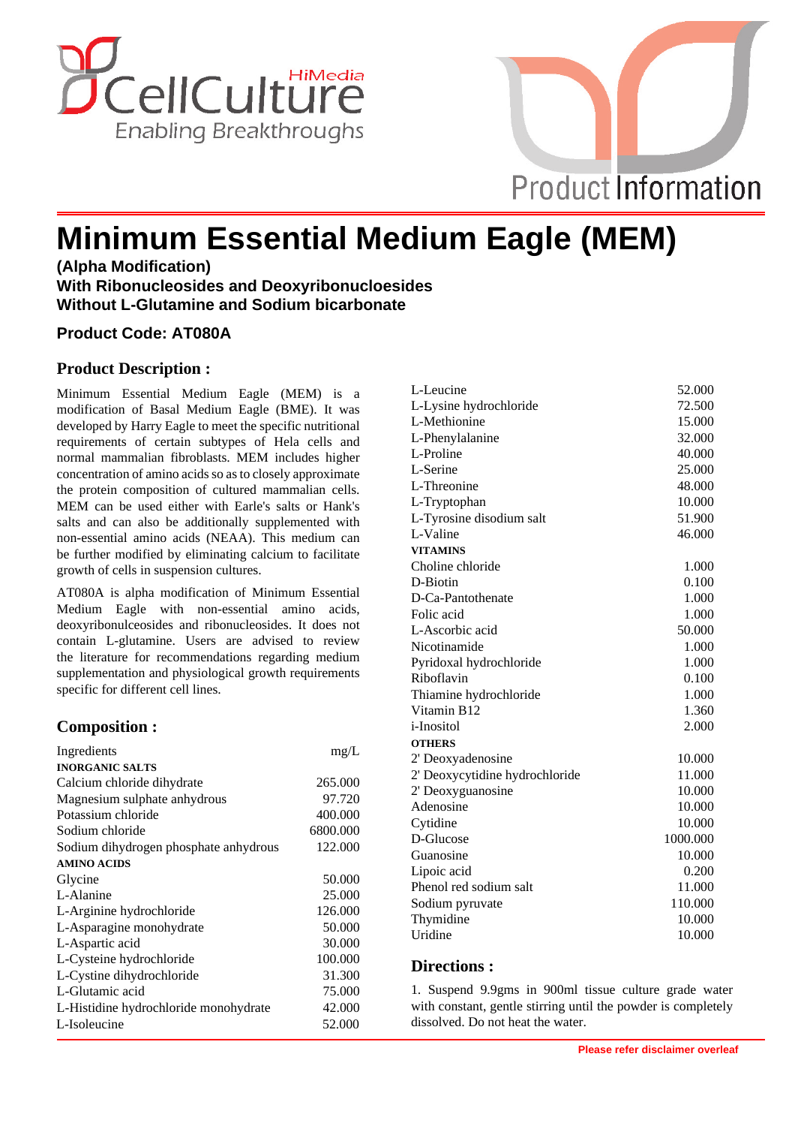



# **Minimum Essential Medium Eagle (MEM)**

**(Alpha Modification) With Ribonucleosides and Deoxyribonucloesides Without L-Glutamine and Sodium bicarbonate**

## **Product Code: AT080A**

# **Product Description :**

Minimum Essential Medium Eagle (MEM) is a modification of Basal Medium Eagle (BME). It was developed by Harry Eagle to meet the specific nutritional requirements of certain subtypes of Hela cells and normal mammalian fibroblasts. MEM includes higher concentration of amino acids so as to closely approximate the protein composition of cultured mammalian cells. MEM can be used either with Earle's salts or Hank's salts and can also be additionally supplemented with non-essential amino acids (NEAA). This medium can be further modified by eliminating calcium to facilitate growth of cells in suspension cultures.

AT080A is alpha modification of Minimum Essential Medium Eagle with non-essential amino acids, deoxyribonulceosides and ribonucleosides. It does not contain L-glutamine. Users are advised to review the literature for recommendations regarding medium supplementation and physiological growth requirements specific for different cell lines.

# **Composition :**

| Ingredients                           | mg/L     |
|---------------------------------------|----------|
| <b>INORGANIC SALTS</b>                |          |
| Calcium chloride dihydrate            | 265.000  |
| Magnesium sulphate anhydrous          | 97.720   |
| Potassium chloride                    | 400.000  |
| Sodium chloride                       | 6800.000 |
| Sodium dihydrogen phosphate anhydrous | 122.000  |
| <b>AMINO ACIDS</b>                    |          |
| Glycine                               | 50.000   |
| L-Alanine                             | 25,000   |
| L-Arginine hydrochloride              | 126.000  |
| L-Asparagine monohydrate              | 50.000   |
| L-Aspartic acid                       | 30.000   |
| L-Cysteine hydrochloride              | 100.000  |
| L-Cystine dihydrochloride             | 31.300   |
| L-Glutamic acid                       | 75.000   |
| L-Histidine hydrochloride monohydrate | 42.000   |
| L-Isoleucine                          | 52.000   |

| L-Leucine                      | 52.000   |
|--------------------------------|----------|
| L-Lysine hydrochloride         | 72.500   |
| L-Methionine                   | 15.000   |
| L-Phenylalanine                | 32.000   |
| L-Proline                      | 40.000   |
| L-Serine                       | 25.000   |
| L-Threonine                    | 48.000   |
| L-Tryptophan                   | 10.000   |
| L-Tyrosine disodium salt       | 51.900   |
| L-Valine                       | 46.000   |
| <b>VITAMINS</b>                |          |
| Choline chloride               | 1.000    |
| D-Biotin                       | 0.100    |
| D-Ca-Pantothenate              | 1.000    |
| Folic acid                     | 1.000    |
| L-Ascorbic acid                | 50.000   |
| Nicotinamide                   | 1.000    |
| Pyridoxal hydrochloride        | 1.000    |
| Riboflavin                     | 0.100    |
| Thiamine hydrochloride         | 1.000    |
| Vitamin B12                    | 1.360    |
| <i>i</i> -Inositol             | 2.000    |
| <b>OTHERS</b>                  |          |
| 2' Deoxyadenosine              | 10.000   |
| 2' Deoxycytidine hydrochloride | 11.000   |
| 2' Deoxyguanosine              | 10.000   |
| Adenosine                      | 10.000   |
| Cytidine                       | 10.000   |
| D-Glucose                      | 1000.000 |
| Guanosine                      | 10.000   |
| Lipoic acid                    | 0.200    |
| Phenol red sodium salt         | 11.000   |
| Sodium pyruvate                | 110.000  |
| Thymidine                      | 10.000   |
| Uridine                        | 10.000   |

## **Directions :**

1. Suspend 9.9gms in 900ml tissue culture grade water with constant, gentle stirring until the powder is completely dissolved. Do not heat the water.